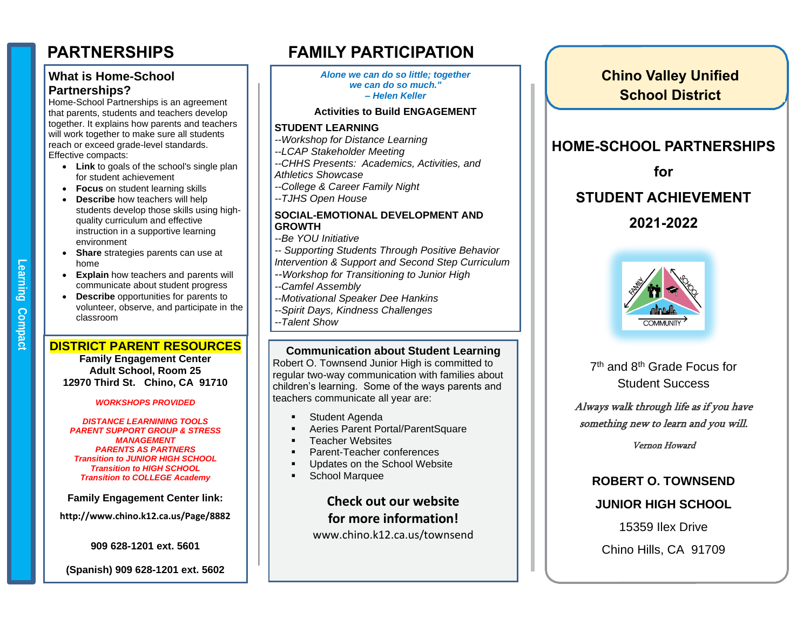## **What is Home-School Partnerships?**

Home-School Partnerships is an agreement that parents, students and teachers develop together. It explains how parents and teachers will work together to make sure all students reach or exceed grade-level standards. Effective compacts:

- **Link** to goals of the school's single plan for student achievement
- **Focus** on student learning skills
- **Describe** how teachers will help students develop those skills using highquality curriculum and effective instruction in a supportive learning environment
- **Share** strategies parents can use at home
- **Explain** how teachers and parents will communicate about student progress
- **Describe** opportunities for parents to volunteer, observe, and participate in the classroom

**Compact** 

**Learning** 

#### **DISTRICT PARENT RESOURCES**

**Family Engagement Center Adult School, Room 25 12970 Third St. Chino, CA 91710**

#### *WORKSHOPS PROVIDED*

*DISTANCE LEARNINING TOOLS PARENT SUPPORT GROUP & STRESS MANAGEMENT PARENTS AS PARTNERS Transition to JUNIOR HIGH SCHOOL Transition to HIGH SCHOOL Transition to COLLEGE Academy*

**Family Engagement Center link:**

**http://www.chino.k12.ca.us/Page/8882**

**909 628-1201 ext. 5601**

**(Spanish) 909 628-1201 ext. 5602**

# **PARTNERSHIPS FAMILY PARTICIPATION**

*Alone we can do so little; together we can do so much." – Helen Keller*

#### **Activities to Build ENGAGEMENT**

#### **STUDENT LEARNING**

- *--Workshop for Distance Learning*
- *--LCAP Stakeholder Meeting*
- *--CHHS Presents: Academics, Activities, and Athletics Showcase*
- *--College & Career Family Night*
- *--TJHS Open House*

#### **SOCIAL-EMOTIONAL DEVELOPMENT AND GROWTH**

- *--Be YOU Initiative*
- *-- Supporting Students Through Positive Behavior*
- *Intervention & Support and Second Step Curriculum*
- *--Workshop for Transitioning to Junior High*
- *--Camfel Assembly*
- *--Motivational Speaker Dee Hankins*
- *--Spirit Days, Kindness Challenges*
- *--Talent Show*

#### **Communication about Student Learning**

Robert O. Townsend Junior High is committed to regular two-way communication with families about children's learning. Some of the ways parents and teachers communicate all year are:

- Student Agenda
- **EXEC** Parent Portal/ParentSquare
- **•** Teacher Websites
- Parent-Teacher conferences
- **■** Updates on the School Website
- School Marquee

**Check out our website for more information!** www.chino.k12.ca.us/townsend



**Chino Valley Unified School District**

**HOME-SCHOOL PARTNERSHIPS**

7<sup>th</sup> and 8<sup>th</sup> Grade Focus for Student Success

Always walk through life as if you have something new to learn and you will.

Vernon Howard

# **ROBERT O. TOWNSEND**

## **JUNIOR HIGH SCHOOL**

15359 Ilex Drive

Chino Hills, CA 91709